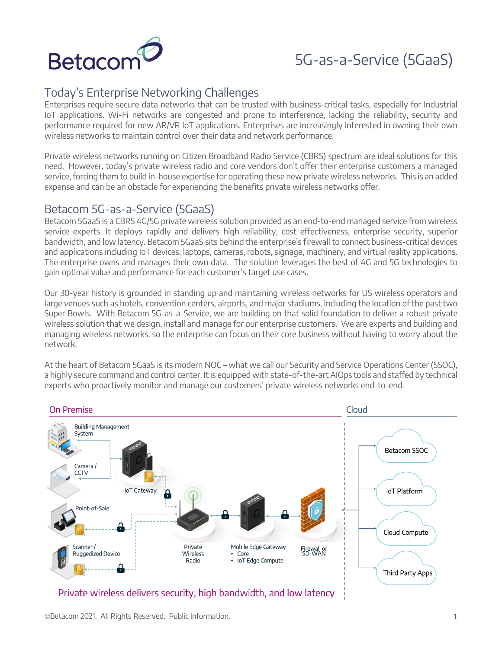

# 5G-as-a-Service (5GaaS)

## Today's Enterprise Networking Challenges

Enterprises require secure data networks that can be trusted with business-critical tasks, especially for Industrial IoT applications. Wi-Fi networks are congested and prone to interference, lacking the reliability, security and performance required for new AR/VR IoT applications. Enterprises are increasingly interested in owning their own wireless networks to maintain control over their data and network performance.

Private wireless networks running on Citizen Broadband Radio Service (CBRS) spectrum are ideal solutions for this need. However, today's private wireless radio and core vendors don't offer their enterprise customers a managed service, forcing them to build in-house expertise for operating these new private wireless networks. This is an added expense and can be an obstacle for experiencing the benefits private wireless networks offer.

## Betacom 5G-as-a-Service (5GaaS)

Betacom 5GaaS is a CBRS 4G/5G private wireless solution provided as an end-to-end managed service from wireless service experts. It deploys rapidly and delivers high reliability, cost effectiveness, enterprise security, superior bandwidth, and low latency. Betacom 5GaaS sits behind the enterprise's firewall to connect business-critical devices and applications including IoT devices, laptops, cameras, robots, signage, machinery, and virtual reality applications. The enterprise owns and manages their own data. The solution leverages the best of 4G and 5G technologies to gain optimal value and performance for each customer's target use cases.

Our 30-year history is grounded in standing up and maintaining wireless networks for US wireless operators and large venues such as hotels, convention centers, airports, and major stadiums, including the location of the past two Super Bowls. With Betacom 5G-as-a-Service, we are building on that solid foundation to deliver a robust private wireless solution that we design, install and manage for our enterprise customers. We are experts and building and managing wireless networks, so the enterprise can focus on their core business without having to worry about the network.

At the heart of Betacom 5GaaS is its modern NOC – what we call our Security and Service Operations Center (SSOC), a highly secure command and control center. It is equipped with state-of-the-art AIOps tools and staffed by technical experts who proactively monitor and manage our customers' private wireless networks end-to-end.



ÓBetacom 2021. All Rights Reserved. Public Information. 1